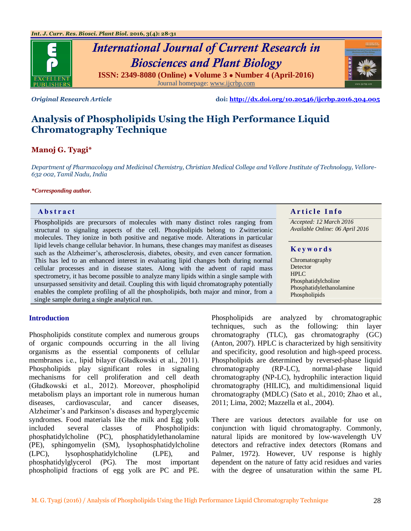

# *International Journal of Current Research in Biosciences and Plant Biology* **ISSN: 2349-8080 (Online) ● Volume 3 ● Number 4 (April-2016)** Journal homepage[: www.ijcrbp.com](http://www.ijcrbp.com/)



*Original Research Article* **doi:<http://dx.doi.org/10.20546/ijcrbp.2016.304.005>**

# **Analysis of Phospholipids Using the High Performance Liquid Chromatography Technique**

# **Manoj G. Tyagi\***

*Department of Pharmacology and Medicinal Chemistry, Christian Medical College and Vellore Institute of Technology, Vellore-632 002, Tamil Nadu, India*

#### *\*Corresponding author.*

Phospholipids are precursors of molecules with many distinct roles ranging from structural to signaling aspects of the cell. Phospholipids belong to Zwitterionic molecules. They ionize in both positive and negative mode. Alterations in particular lipid levels change cellular behavior. In humans, these changes may manifest as diseases such as the Alzheimer's, atherosclerosis, diabetes, obesity, and even cancer formation. This has led to an enhanced interest in evaluating lipid changes both during normal cellular processes and in disease states. Along with the advent of rapid mass spectrometry, it has become possible to analyze many lipids within a single sample with unsurpassed sensitivity and detail. Coupling this with liquid chromatography potentially enables the complete profiling of all the phospholipids, both major and minor, from a single sample during a single analytical run.

## **Abstract A A A A A A** *A* **<b>A** *A A A A A A A A A A A A A A A A A*

*Accepted: 12 March 2016 Available Online: 06 April 2016*

#### **K e y w o r d s**

Chromatography Detector HPLC Phosphatidylcholine Phosphatidylethanolamine Phospholipids

#### **Introduction**

Phospholipids constitute complex and numerous groups of organic compounds occurring in the all living organisms as the essential components of cellular membranes i.e., lipid bilayer (Gładkowski et al., 2011). Phospholipids play significant roles in signaling mechanisms for cell proliferation and cell death (Gładkowski et al., 2012). Moreover, phospholipid metabolism plays an important role in numerous human diseases, cardiovascular, and cancer diseases, Alzheimer's and Parkinson's diseases and hyperglycemic syndromes. Food materials like the milk and Egg yolk included several classes of Phospholipids: phosphatidylcholine (PC), phosphatidylethanolamine (PE), sphingomyelin (SM), lysophosphatidylcholine (LPC), lysophosphatidylcholine (LPE), and phosphatidylglycerol (PG). The most important phospholipid fractions of egg yolk are PC and PE.

Phospholipids are analyzed by chromatographic techniques, such as the following: thin layer chromatography (TLC), gas chromatography (GC) (Anton, 2007). HPLC is characterized by high sensitivity and specificity, good resolution and high-speed process. Phospholipids are determined by reversed-phase liquid chromatography (RP-LC), normal-phase liquid chromatography (NP-LC), hydrophilic interaction liquid chromatography (HILIC), and multidimensional liquid chromatography (MDLC) (Sato et al., 2010; Zhao et al., 2011; Lima, 2002; Mazzella et al., 2004).

There are various detectors available for use on conjunction with liquid chromatography. Commonly, natural lipids are monitored by low-wavelength UV detectors and refractive index detectors (Romans and Palmer, 1972). However, UV response is highly dependent on the nature of fatty acid residues and varies with the degree of unsaturation within the same PL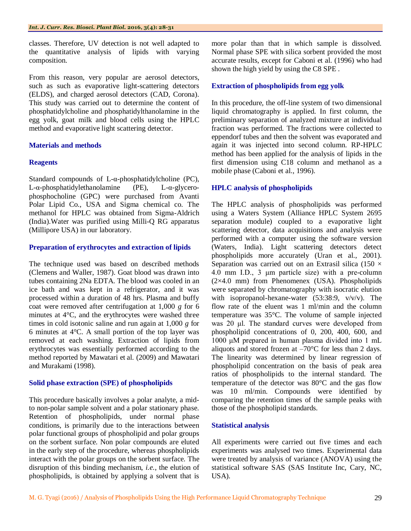classes. Therefore, UV detection is not well adapted to the quantitative analysis of lipids with varying composition.

From this reason, very popular are aerosol detectors, such as such as evaporative light-scattering detectors (ELDS), and charged aerosol detectors (CAD, Corona). This study was carried out to determine the content of phosphatidylcholine and phosphatidylthanolamine in the egg yolk, goat milk and blood cells using the HPLC method and evaporative light scattering detector.

# **Materials and methods**

# **Reagents**

Standard compounds of L-α-phosphatidylcholine (PC), L-α-phosphatidylethanolamine (PE), L-α-glycerophosphocholine (GPC) were purchased from Avanti Polar Lipid Co., USA and Sigma chemical co. The methanol for HPLC was obtained from Sigma-Aldrich (India).Water was purified using Milli-Q RG apparatus (Millipore USA) in our laboratory.

## **Preparation of erythrocytes and extraction of lipids**

The technique used was based on described methods (Clemens and Waller, 1987). Goat blood was drawn into tubes containing 2Na EDTA. The blood was cooled in an ice bath and was kept in a refrigerator, and it was processed within a duration of 48 hrs. Plasma and buffy coat were removed after centrifugation at 1,000 *g* for 6 minutes at 4°C, and the erythrocytes were washed three times in cold isotonic saline and run again at 1,000 *g* for 6 minutes at 4°C. A small portion of the top layer was removed at each washing. Extraction of lipids from erythrocytes was essentially performed according to the method reported by Mawatari et al. (2009) and Mawatari and Murakami (1998).

## **Solid phase extraction (SPE) of phospholipids**

This procedure basically involves a polar analyte, a midto non-polar sample solvent and a polar stationary phase. Retention of phospholipids, under normal phase conditions, is primarily due to the interactions between polar functional groups of phospholipid and polar groups on the sorbent surface. Non polar compounds are eluted in the early step of the procedure, whereas phospholipids interact with the polar groups on the sorbent surface. The disruption of this binding mechanism, *i.e.*, the elution of phospholipids, is obtained by applying a solvent that is

more polar than that in which sample is dissolved. Normal phase SPE with silica sorbent provided the most accurate results, except for Caboni et al. (1996) who had shown the high yield by using the C8 SPE .

# **Extraction of phospholipids from egg yolk**

In this procedure, the off-line system of two dimensional liquid chromatography is applied. In first column, the preliminary separation of analyzed mixture at individual fraction was performed. The fractions were collected to eppendorf tubes and then the solvent was evaporated and again it was injected into second column. RP-HPLC method has been applied for the analysis of lipids in the first dimension using C18 column and methanol as a mobile phase (Caboni et al., 1996).

## **HPLC analysis of phospholipids**

The HPLC analysis of phospholipids was performed using a Waters System (Alliance HPLC System 2695 separation module) coupled to a evaporative light scattering detector, data acquisitions and analysis were performed with a computer using the software version (Waters, India). Light scattering detectors detect phospholipids more accurately (Uran et al., 2001). Separation was carried out on an Extrasil silica (150  $\times$ 4.0 mm I.D., 3 μm particle size) with a pre-column  $(2\times4.0 \text{ mm})$  from Phenomenex (USA). Phospholipids were separated by chromatography with isocratic elution with isopropanol-hexane-water (53:38:9, v/v/v). The flow rate of the eluent was 1 ml/min and the column temperature was 35°C. The volume of sample injected was 20 μl. The standard curves were developed from phospholipid concentrations of 0, 200, 400, 600, and 1000 μM prepared in human plasma divided into 1 mL aliquots and stored frozen at  $-70^{\circ}$ C for less than 2 days. The linearity was determined by linear regression of phospholipid concentration on the basis of peak area ratios of phospholipids to the internal standard. The temperature of the detector was 80°C and the gas flow was 10 ml/min. Compounds were identified by comparing the retention times of the sample peaks with those of the phospholipid standards.

## **Statistical analysis**

All experiments were carried out five times and each experiments was analysed two times. Experimental data were treated by analysis of variance (ANOVA) using the statistical software SAS (SAS Institute Inc, Cary, NC, USA).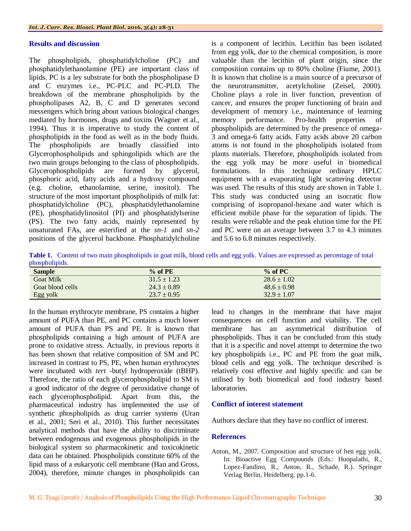#### **Results and discussion**

The phospholipids, phosphatidylcholine (PC) and phosphatidylethanolamine (PE) are important class of lipids. PC is a ley substrate for both the phospholipase D and C enzymes i.e., PC-PLC and PC-PLD. The breakdown of the membrane phospholipids by the phospholipases A2, B, C and D generates second messengers which bring about various biological changes mediated by hormones, drugs and toxins (Wagner et al., 1994). Thus it is imperative to study the content of phospholipids in the food as well as in the body fluids. The phospholipids are broadly classified into Glycerophospholipids and sphingolipids which are the two main groups belonging to the class of phospholipids. Glycerophospholipids are formed by glycerol, phosphoric acid, fatty acids and a hydroxy compound (e.g. choline, ethanolamine, serine, inositol). The structure of the most important phospholipids of milk fat: phosphatidylcholine (PC), phosphatidylethanolamine (PE), phosphatidylinositol (PI) and phosphatidylserine (PS). The two fatty acids, mainly represented by unsaturated FAs, are esterified at the *sn-1* and *sn-2*  positions of the glycerol backbone. Phosphatidylcholine

is a component of lecithin. Lecithin has been isolated from egg yolk, due to the chemical composition, is more valuable than the lecithin of plant origin, since the composition contains up to 80% choline (Fiume, 2001). It is known that choline is a main source of a precursor of the neurotransmitter, acetylcholine (Zeisel, 2000). Choline plays a role in liver function, prevention of cancer, and ensures the proper functioning of brain and development of memory i.e., maintenance of learning memory performance. Pro-health properties of phospholipids are determined by the presence of omega-3 and omega-6 fatty acids. Fatty acids above 20 carbon atoms is not found in the phospholipids isolated from plants materials. Therefore, phospholipids isolated from the egg yolk may be more useful in biomedical formulations. In this technique ordinary HPLC equipment with a evaporating light scattering detector was used. The results of this study are shown in Table 1. This study was conducted using an isocratic flow comprising of isopropanol-hexane and water which is efficient mobile phase for the separation of lipids. The results were reliable and the peak elution time for the PE and PC were on an average between 3.7 to 4.3 minutes and 5.6 to 6.8 minutes respectively.

**Table 1.** Content of two main phospholipids in goat milk, blood cells and egg yolk. Values are expressed as percentage of total phospholipids.

| <b>Sample</b>    | $\%$ of PE      | $%$ of PC       |  |
|------------------|-----------------|-----------------|--|
| <b>Goat Milk</b> | $31.5 \pm 1.23$ | $28.6 \pm 1.02$ |  |
| Goat blood cells | $24.3 \pm 0.89$ | $48.6 \pm 0.98$ |  |
| Egg yolk         | $23.7 \pm 0.95$ | $32.9 \pm 1.07$ |  |

In the human erythrocyte membrane, PS contains a higher amount of PUFA than PE, and PC contains a much lower amount of PUFA than PS and PE. It is known that phospholipids containing a high amount of PUFA are prone to oxidative stress. Actually, in previous reports it has been shown that relative composition of SM and PC increased in contrast to PS, PE, when human erythrocytes were incubated with *tert* -butyl hydroperoxide (tBHP). Therefore, the ratio of each glycerophospholipid to SM is a good indicator of the degree of peroxidative change of each glycerophospholipid. Apart from this, the pharmaceutical industry has implemented the use of synthetic phospholipids as drug carrier systems (Uran et al., 2001; Seri et al., 2010). This further necessitates analytical methods that have the ability to discriminate between endogenous and exogenous phospholipids in the biological system so pharmacokinetic and toxicokinetic data can be obtained. Phospholipids constitute 60% of the lipid mass of a eukaryotic cell membrane (Han and Gross, 2004), therefore, minute changes in phospholipids can

lead to changes in the membrane that have major consequences on cell function and viability. The cell membrane has an asymmetrical distribution of phospholipids. Thus it can be concluded from this study that it is a specific and novel attempt to determine the two key phospholipids i.e., PC and PE from the goat milk, blood cells and egg yolk. The technique described is relatively cost effective and highly specific and can be utilised by both biomedical and food industry based laboratories.

#### **Conflict of interest statement**

Authors declare that they have no conflict of interest.

#### **References**

Anton, M., 2007. Composition and structure of hen egg yolk. In: Bioactive Egg Compounds (Eds.: Huopalathi, R., Lopez-Fandino, R., Anton, R., Schade, R.). Springer Verlag Berlin, Heidelberg. pp.1-6.